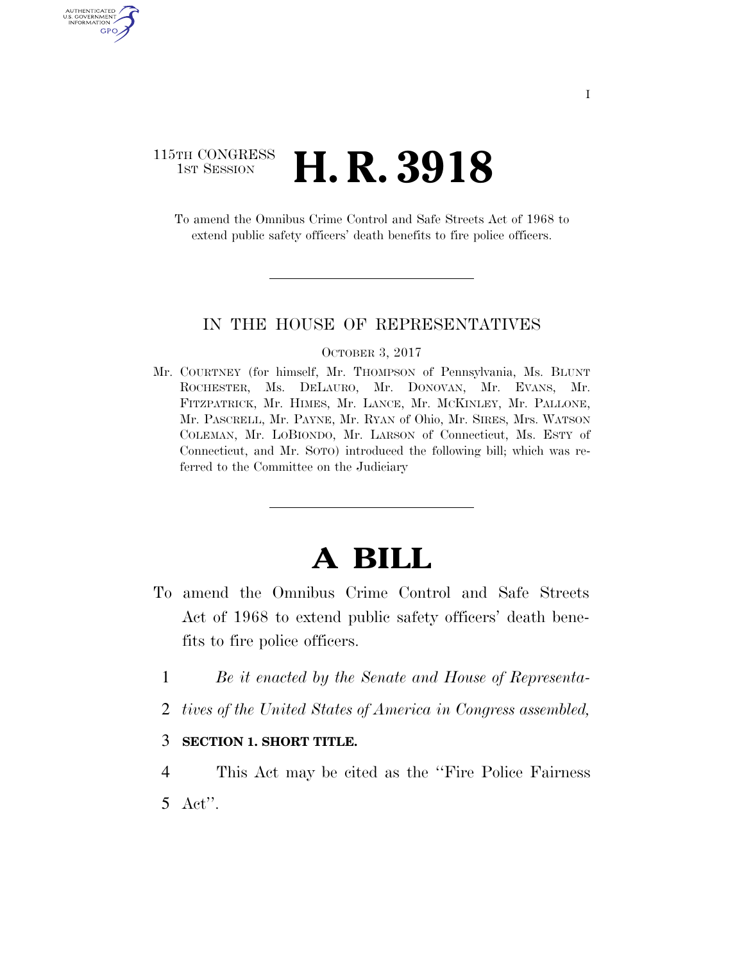## 115TH CONGRESS <sup>TH CONGRESS</sup> **H. R. 3918**

AUTHENTICATED U.S. GOVERNMENT GPO

> To amend the Omnibus Crime Control and Safe Streets Act of 1968 to extend public safety officers' death benefits to fire police officers.

#### IN THE HOUSE OF REPRESENTATIVES

#### OCTOBER 3, 2017

Mr. COURTNEY (for himself, Mr. THOMPSON of Pennsylvania, Ms. BLUNT ROCHESTER, Ms. DELAURO, Mr. DONOVAN, Mr. EVANS, Mr. FITZPATRICK, Mr. HIMES, Mr. LANCE, Mr. MCKINLEY, Mr. PALLONE, Mr. PASCRELL, Mr. PAYNE, Mr. RYAN of Ohio, Mr. SIRES, Mrs. WATSON COLEMAN, Mr. LOBIONDO, Mr. LARSON of Connecticut, Ms. ESTY of Connecticut, and Mr. SOTO) introduced the following bill; which was referred to the Committee on the Judiciary

# **A BILL**

- To amend the Omnibus Crime Control and Safe Streets Act of 1968 to extend public safety officers' death benefits to fire police officers.
	- 1 *Be it enacted by the Senate and House of Representa-*
	- 2 *tives of the United States of America in Congress assembled,*

### 3 **SECTION 1. SHORT TITLE.**

4 This Act may be cited as the ''Fire Police Fairness 5 Act''.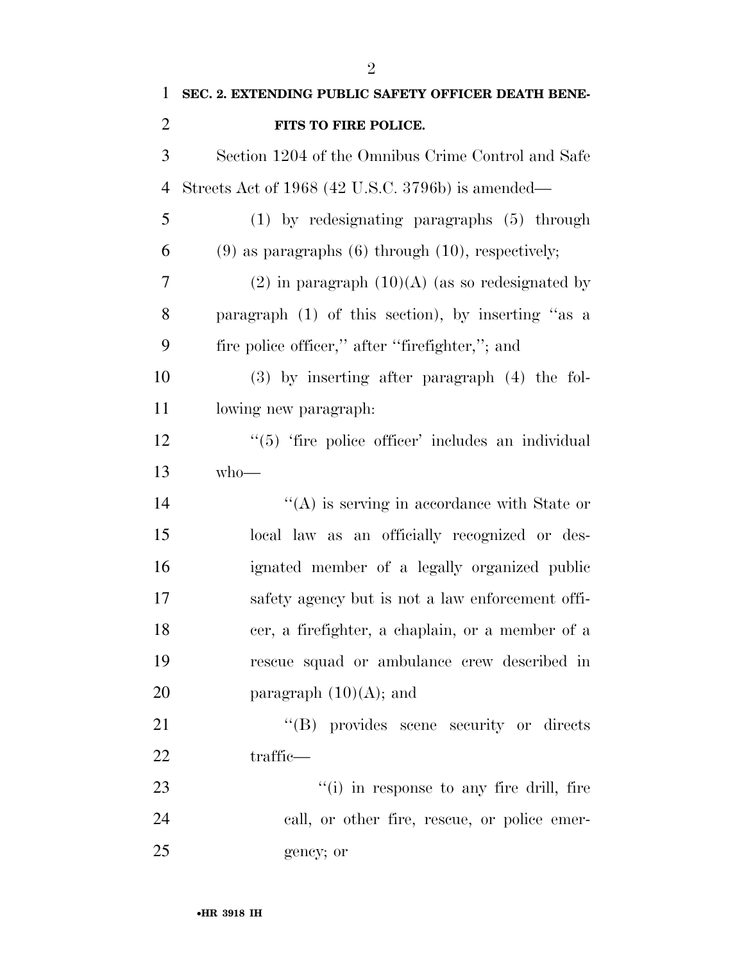| $\mathbf{1}$   | SEC. 2. EXTENDING PUBLIC SAFETY OFFICER DEATH BENE-      |
|----------------|----------------------------------------------------------|
| $\overline{2}$ | FITS TO FIRE POLICE.                                     |
| 3              | Section 1204 of the Omnibus Crime Control and Safe       |
| $\overline{4}$ | Streets Act of 1968 (42 U.S.C. 3796b) is amended—        |
| 5              | (1) by redesignating paragraphs (5) through              |
| 6              | $(9)$ as paragraphs $(6)$ through $(10)$ , respectively; |
| 7              | $(2)$ in paragraph $(10)(A)$ (as so redesignated by      |
| 8              | paragraph (1) of this section), by inserting "as a       |
| 9              | fire police officer," after "firefighter,"; and          |
| 10             | $(3)$ by inserting after paragraph $(4)$ the fol-        |
| 11             | lowing new paragraph.                                    |
| 12             | "(5) 'fire police officer' includes an individual        |
| 13             | $who$ —                                                  |
| 14             | $\lq\lq$ is serving in accordance with State or          |
| 15             | local law as an officially recognized or des-            |
| 16             | ignated member of a legally organized public             |
| 17             | safety agency but is not a law enforcement offi-         |
| 18             | cer, a firefighter, a chaplain, or a member of a         |
| 19             | rescue squad or ambulance crew described in              |
| 20             | paragraph $(10)(A)$ ; and                                |
| 21             | "(B) provides scene security or directs                  |
| 22             | traffic—                                                 |
| 23             | "(i) in response to any fire drill, fire                 |
| 24             | call, or other fire, rescue, or police emer-             |
| 25             | gency; or                                                |